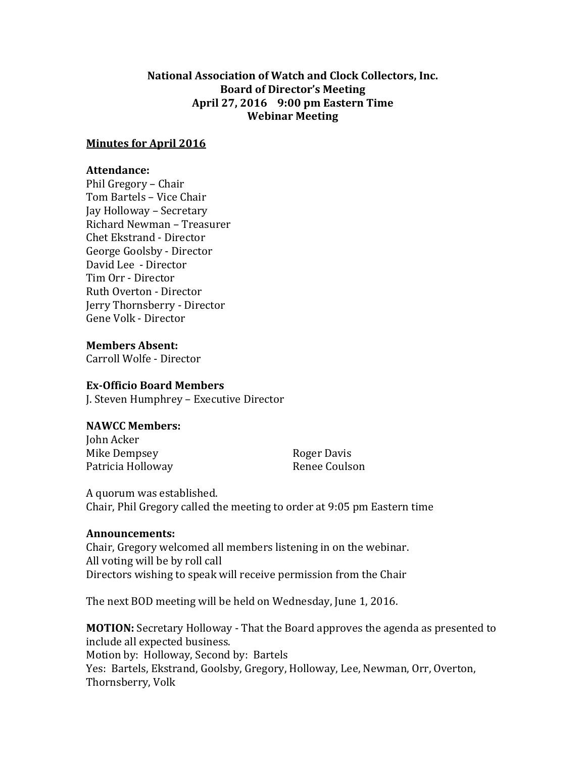## **National Association of Watch and Clock Collectors, Inc. Board of Director's Meeting April 27, 2016 9:00 pm Eastern Time Webinar Meeting**

### **Minutes for April 2016**

### **Attendance:**

Phil Gregory – Chair Tom Bartels – Vice Chair Jay Holloway – Secretary Richard Newman – Treasurer Chet Ekstrand - Director George Goolsby - Director David Lee - Director Tim Orr - Director Ruth Overton - Director Jerry Thornsberry - Director Gene Volk - Director

**Members Absent:** Carroll Wolfe - Director

#### **Ex-Officio Board Members**

J. Steven Humphrey – Executive Director

#### **NAWCC Members:**

John Acker Mike Dempsey **Roger Davis** Patricia Holloway **Renee Coulson** 

A quorum was established. Chair, Phil Gregory called the meeting to order at 9:05 pm Eastern time

#### **Announcements:**

Chair, Gregory welcomed all members listening in on the webinar. All voting will be by roll call Directors wishing to speak will receive permission from the Chair

The next BOD meeting will be held on Wednesday, June 1, 2016.

**MOTION:** Secretary Holloway - That the Board approves the agenda as presented to include all expected business. Motion by: Holloway, Second by: Bartels Yes: Bartels, Ekstrand, Goolsby, Gregory, Holloway, Lee, Newman, Orr, Overton, Thornsberry, Volk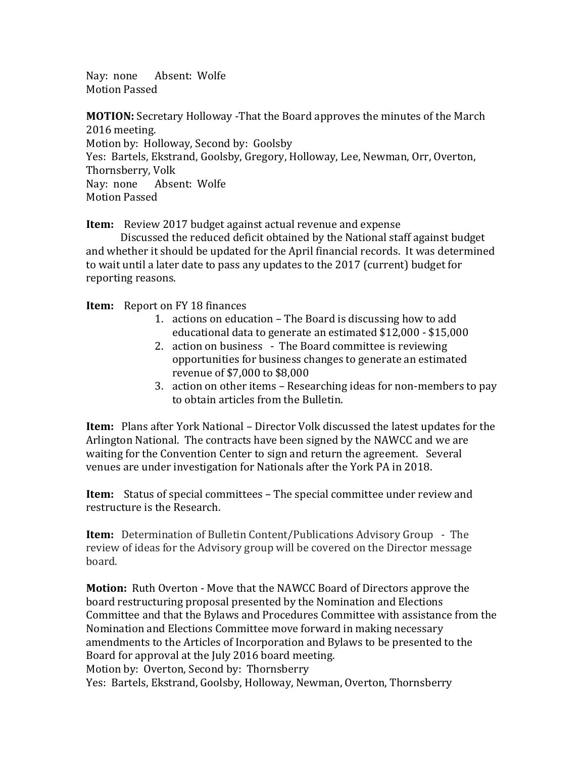Nay: none Absent: Wolfe Motion Passed

**MOTION:** Secretary Holloway -That the Board approves the minutes of the March 2016 meeting. Motion by: Holloway, Second by: Goolsby Yes: Bartels, Ekstrand, Goolsby, Gregory, Holloway, Lee, Newman, Orr, Overton, Thornsberry, Volk Nay: none Absent: Wolfe Motion Passed

**Item:** Review 2017 budget against actual revenue and expense

Discussed the reduced deficit obtained by the National staff against budget and whether it should be updated for the April financial records. It was determined to wait until a later date to pass any updates to the 2017 (current) budget for reporting reasons.

**Item:** Report on FY 18 finances

- 1. actions on education The Board is discussing how to add educational data to generate an estimated \$12,000 - \$15,000
- 2. action on business The Board committee is reviewing opportunities for business changes to generate an estimated revenue of \$7,000 to \$8,000
- 3. action on other items Researching ideas for non-members to pay to obtain articles from the Bulletin.

**Item:** Plans after York National – Director Volk discussed the latest updates for the Arlington National. The contracts have been signed by the NAWCC and we are waiting for the Convention Center to sign and return the agreement. Several venues are under investigation for Nationals after the York PA in 2018.

**Item:** Status of special committees – The special committee under review and restructure is the Research.

**Item:** Determination of Bulletin Content/Publications Advisory Group - The review of ideas for the Advisory group will be covered on the Director message board.

**Motion:** Ruth Overton - Move that the NAWCC Board of Directors approve the board restructuring proposal presented by the Nomination and Elections Committee and that the Bylaws and Procedures Committee with assistance from the Nomination and Elections Committee move forward in making necessary amendments to the Articles of Incorporation and Bylaws to be presented to the Board for approval at the July 2016 board meeting. Motion by: Overton, Second by: Thornsberry Yes: Bartels, Ekstrand, Goolsby, Holloway, Newman, Overton, Thornsberry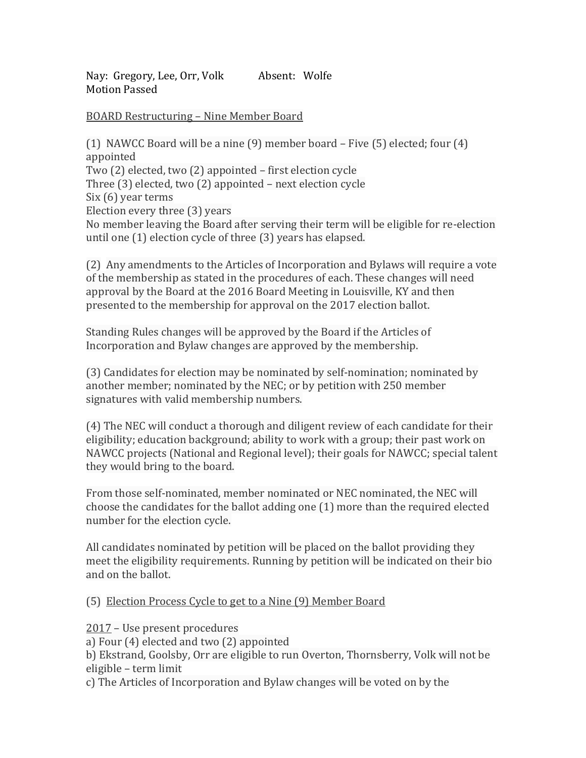Nay: Gregory, Lee, Orr, Volk Absent: Wolfe Motion Passed

## BOARD Restructuring – Nine Member Board

(1) NAWCC Board will be a nine (9) member board – Five (5) elected; four (4) appointed Two (2) elected, two (2) appointed – first election cycle Three (3) elected, two (2) appointed – next election cycle Six (6) year terms Election every three (3) years No member leaving the Board after serving their term will be eligible for re-election until one (1) election cycle of three (3) years has elapsed.

(2) Any amendments to the Articles of Incorporation and Bylaws will require a vote of the membership as stated in the procedures of each. These changes will need approval by the Board at the 2016 Board Meeting in Louisville, KY and then presented to the membership for approval on the 2017 election ballot.

Standing Rules changes will be approved by the Board if the Articles of Incorporation and Bylaw changes are approved by the membership.

(3) Candidates for election may be nominated by self-nomination; nominated by another member; nominated by the NEC; or by petition with 250 member signatures with valid membership numbers.

(4) The NEC will conduct a thorough and diligent review of each candidate for their eligibility; education background; ability to work with a group; their past work on NAWCC projects (National and Regional level); their goals for NAWCC; special talent they would bring to the board.

From those self-nominated, member nominated or NEC nominated, the NEC will choose the candidates for the ballot adding one (1) more than the required elected number for the election cycle.

All candidates nominated by petition will be placed on the ballot providing they meet the eligibility requirements. Running by petition will be indicated on their bio and on the ballot.

# (5) Election Process Cycle to get to a Nine (9) Member Board

2017 – Use present procedures

a) Four (4) elected and two (2) appointed

b) Ekstrand, Goolsby, Orr are eligible to run Overton, Thornsberry, Volk will not be eligible – term limit

c) The Articles of Incorporation and Bylaw changes will be voted on by the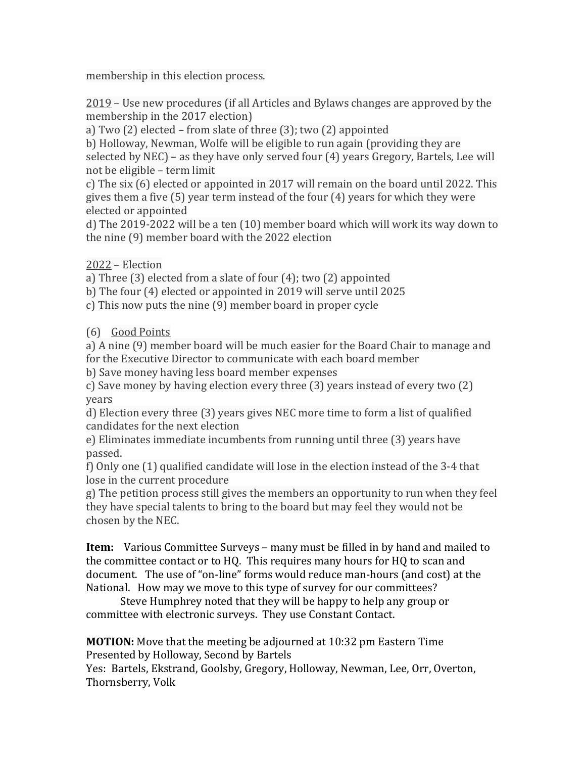membership in this election process.

2019 – Use new procedures (if all Articles and Bylaws changes are approved by the membership in the 2017 election)

a) Two (2) elected – from slate of three (3); two (2) appointed

b) Holloway, Newman, Wolfe will be eligible to run again (providing they are selected by NEC) – as they have only served four (4) years Gregory, Bartels, Lee will not be eligible – term limit

c) The six (6) elected or appointed in 2017 will remain on the board until 2022. This gives them a five (5) year term instead of the four (4) years for which they were elected or appointed

d) The 2019-2022 will be a ten (10) member board which will work its way down to the nine (9) member board with the 2022 election

2022 – Election

a) Three (3) elected from a slate of four (4); two (2) appointed

b) The four (4) elected or appointed in 2019 will serve until 2025

c) This now puts the nine (9) member board in proper cycle

(6) Good Points

a) A nine (9) member board will be much easier for the Board Chair to manage and for the Executive Director to communicate with each board member

b) Save money having less board member expenses

c) Save money by having election every three (3) years instead of every two (2) years

d) Election every three (3) years gives NEC more time to form a list of qualified candidates for the next election

e) Eliminates immediate incumbents from running until three (3) years have passed.

f) Only one (1) qualified candidate will lose in the election instead of the 3-4 that lose in the current procedure

g) The petition process still gives the members an opportunity to run when they feel they have special talents to bring to the board but may feel they would not be chosen by the NEC.

**Item:** Various Committee Surveys – many must be filled in by hand and mailed to the committee contact or to HQ. This requires many hours for HQ to scan and document. The use of "on-line" forms would reduce man-hours (and cost) at the National. How may we move to this type of survey for our committees?

Steve Humphrey noted that they will be happy to help any group or committee with electronic surveys. They use Constant Contact.

**MOTION:** Move that the meeting be adjourned at 10:32 pm Eastern Time Presented by Holloway, Second by Bartels

Yes: Bartels, Ekstrand, Goolsby, Gregory, Holloway, Newman, Lee, Orr, Overton, Thornsberry, Volk